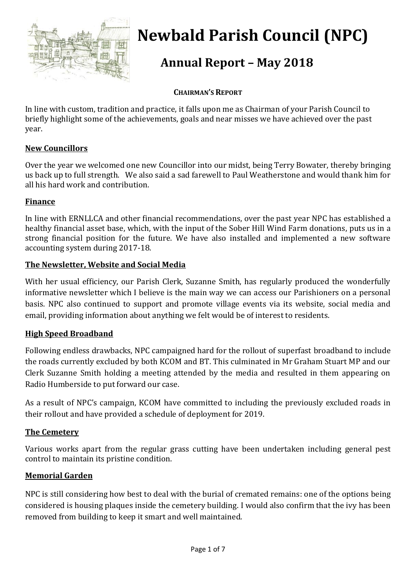

# **Newbald Parish Council (NPC)**

# **Annual Report – May 2018**

#### **CHAIRMAN'S REPORT**

In line with custom, tradition and practice, it falls upon me as Chairman of your Parish Council to briefly highlight some of the achievements, goals and near misses we have achieved over the past year.

#### **New Councillors**

Over the year we welcomed one new Councillor into our midst, being Terry Bowater, thereby bringing us back up to full strength. We also said a sad farewell to Paul Weatherstone and would thank him for all his hard work and contribution.

#### **Finance**

In line with ERNLLCA and other financial recommendations, over the past year NPC has established a healthy financial asset base, which, with the input of the Sober Hill Wind Farm donations, puts us in a strong financial position for the future. We have also installed and implemented a new software accounting system during 2017-18.

#### **The Newsletter, Website and Social Media**

With her usual efficiency, our Parish Clerk, Suzanne Smith, has regularly produced the wonderfully informative newsletter which I believe is the main way we can access our Parishioners on a personal basis. NPC also continued to support and promote village events via its website, social media and email, providing information about anything we felt would be of interest to residents.

#### **High Speed Broadband**

Following endless drawbacks, NPC campaigned hard for the rollout of superfast broadband to include the roads currently excluded by both KCOM and BT. This culminated in Mr Graham Stuart MP and our Clerk Suzanne Smith holding a meeting attended by the media and resulted in them appearing on Radio Humberside to put forward our case.

As a result of NPC's campaign, KCOM have committed to including the previously excluded roads in their rollout and have provided a schedule of deployment for 2019.

#### **The Cemetery**

Various works apart from the regular grass cutting have been undertaken including general pest control to maintain its pristine condition.

#### **Memorial Garden**

NPC is still considering how best to deal with the burial of cremated remains: one of the options being considered is housing plaques inside the cemetery building. I would also confirm that the ivy has been removed from building to keep it smart and well maintained.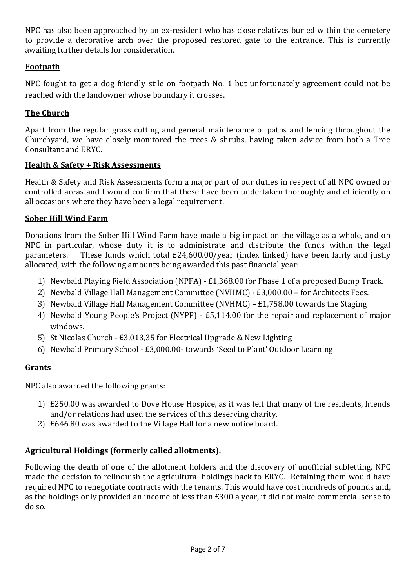NPC has also been approached by an ex-resident who has close relatives buried within the cemetery to provide a decorative arch over the proposed restored gate to the entrance. This is currently awaiting further details for consideration.

#### **Footpath**

NPC fought to get a dog friendly stile on footpath No. 1 but unfortunately agreement could not be reached with the landowner whose boundary it crosses.

#### **The Church**

Apart from the regular grass cutting and general maintenance of paths and fencing throughout the Churchyard, we have closely monitored the trees & shrubs, having taken advice from both a Tree Consultant and ERYC.

#### **Health & Safety + Risk Assessments**

Health & Safety and Risk Assessments form a major part of our duties in respect of all NPC owned or controlled areas and I would confirm that these have been undertaken thoroughly and efficiently on all occasions where they have been a legal requirement.

#### **Sober Hill Wind Farm**

Donations from the Sober Hill Wind Farm have made a big impact on the village as a whole, and on NPC in particular, whose duty it is to administrate and distribute the funds within the legal parameters. These funds which total £24,600.00/year (index linked) have been fairly and justly allocated, with the following amounts being awarded this past financial year:

- 1) Newbald Playing Field Association (NPFA) £1,368.00 for Phase 1 of a proposed Bump Track.
- 2) Newbald Village Hall Management Committee (NVHMC) £3,000.00 for Architects Fees.
- 3) Newbald Village Hall Management Committee (NVHMC) £1,758.00 towards the Staging
- 4) Newbald Young People's Project (NYPP) £5,114.00 for the repair and replacement of major windows.
- 5) St Nicolas Church £3,013,35 for Electrical Upgrade & New Lighting
- 6) Newbald Primary School £3,000.00- towards 'Seed to Plant' Outdoor Learning

#### **Grants**

NPC also awarded the following grants:

- 1) £250.00 was awarded to Dove House Hospice, as it was felt that many of the residents, friends and/or relations had used the services of this deserving charity.
- 2) £646.80 was awarded to the Village Hall for a new notice board.

#### **Agricultural Holdings (formerly called allotments).**

Following the death of one of the allotment holders and the discovery of unofficial subletting, NPC made the decision to relinquish the agricultural holdings back to ERYC. Retaining them would have required NPC to renegotiate contracts with the tenants. This would have cost hundreds of pounds and, as the holdings only provided an income of less than £300 a year, it did not make commercial sense to do so.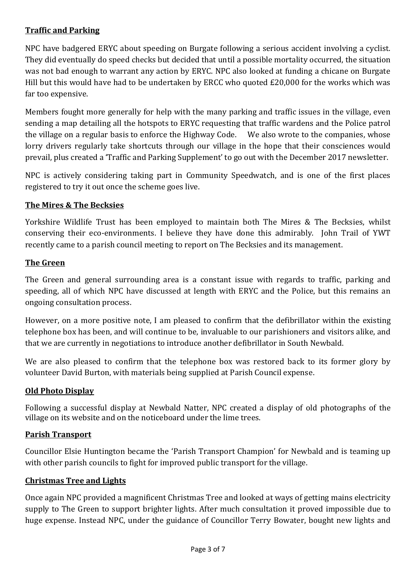#### **Traffic and Parking**

NPC have badgered ERYC about speeding on Burgate following a serious accident involving a cyclist. They did eventually do speed checks but decided that until a possible mortality occurred, the situation was not bad enough to warrant any action by ERYC. NPC also looked at funding a chicane on Burgate Hill but this would have had to be undertaken by ERCC who quoted £20,000 for the works which was far too expensive.

Members fought more generally for help with the many parking and traffic issues in the village, even sending a map detailing all the hotspots to ERYC requesting that traffic wardens and the Police patrol the village on a regular basis to enforce the Highway Code. We also wrote to the companies, whose lorry drivers regularly take shortcuts through our village in the hope that their consciences would prevail, plus created a 'Traffic and Parking Supplement' to go out with the December 2017 newsletter.

NPC is actively considering taking part in Community Speedwatch, and is one of the first places registered to try it out once the scheme goes live.

#### **The Mires & The Becksies**

Yorkshire Wildlife Trust has been employed to maintain both The Mires & The Becksies, whilst conserving their eco-environments. I believe they have done this admirably. John Trail of YWT recently came to a parish council meeting to report on The Becksies and its management.

#### **The Green**

The Green and general surrounding area is a constant issue with regards to traffic, parking and speeding, all of which NPC have discussed at length with ERYC and the Police, but this remains an ongoing consultation process.

However, on a more positive note, I am pleased to confirm that the defibrillator within the existing telephone box has been, and will continue to be, invaluable to our parishioners and visitors alike, and that we are currently in negotiations to introduce another defibrillator in South Newbald.

We are also pleased to confirm that the telephone box was restored back to its former glory by volunteer David Burton, with materials being supplied at Parish Council expense.

#### **Old Photo Display**

Following a successful display at Newbald Natter, NPC created a display of old photographs of the village on its website and on the noticeboard under the lime trees.

#### **Parish Transport**

Councillor Elsie Huntington became the 'Parish Transport Champion' for Newbald and is teaming up with other parish councils to fight for improved public transport for the village.

#### **Christmas Tree and Lights**

Once again NPC provided a magnificent Christmas Tree and looked at ways of getting mains electricity supply to The Green to support brighter lights. After much consultation it proved impossible due to huge expense. Instead NPC, under the guidance of Councillor Terry Bowater, bought new lights and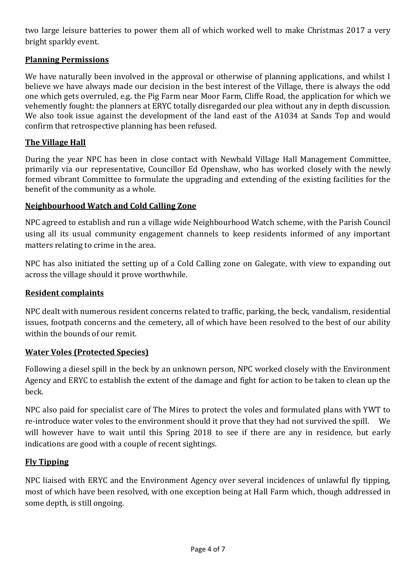two large leisure batteries to power them all of which worked well to make Christmas 2017 a very bright sparkly event.

#### **Planning Permissions**

We have naturally been involved in the approval or otherwise of planning applications, and whilst I believe we have always made our decision in the best interest of the Village, there is always the odd one which gets overruled, e.g. the Pig Farm near Moor Farm, Cliffe Road, the application for which we vehemently fought: the planners at ERYC totally disregarded our plea without any in depth discussion. We also took issue against the development of the land east of the A1034 at Sands Top and would confirm that retrospective planning has been refused.

#### **The Village Hall**

During the year NPC has been in close contact with Newbald Village Hall Management Committee, primarily via our representative, Councillor Ed Openshaw, who has worked closely with the newly formed vibrant Committee to formulate the upgrading and extending of the existing facilities for the benefit of the community as a whole.

#### **Neighbourhood Watch and Cold Calling Zone**

NPC agreed to establish and run a village wide Neighbourhood Watch scheme, with the Parish Council using all its usual community engagement channels to keep residents informed of any important matters relating to crime in the area.

NPC has also initiated the setting up of a Cold Calling zone on Galegate, with view to expanding out across the village should it prove worthwhile.

#### **Resident complaints**

NPC dealt with numerous resident concerns related to traffic, parking, the beck, vandalism, residential issues, footpath concerns and the cemetery, all of which have been resolved to the best of our ability within the bounds of our remit.

#### **Water Voles (Protected Species)**

Following a diesel spill in the beck by an unknown person, NPC worked closely with the Environment Agency and ERYC to establish the extent of the damage and fight for action to be taken to clean up the beck.

NPC also paid for specialist care of The Mires to protect the voles and formulated plans with YWT to re-introduce water voles to the environment should it prove that they had not survived the spill. We will however have to wait until this Spring 2018 to see if there are any in residence, but early indications are good with a couple of recent sightings.

#### **Fly Tipping**

NPC liaised with ERYC and the Environment Agency over several incidences of unlawful fly tipping, most of which have been resolved, with one exception being at Hall Farm which, though addressed in some depth, is still ongoing.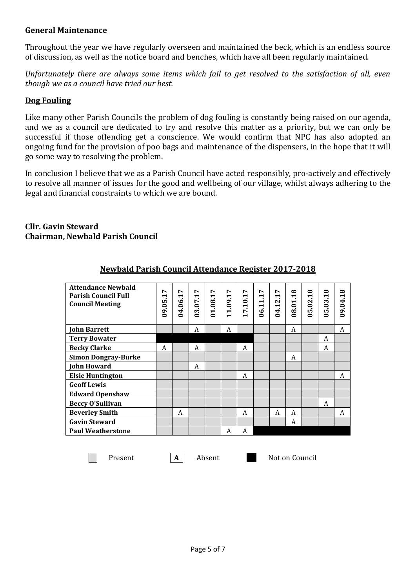#### **General Maintenance**

Throughout the year we have regularly overseen and maintained the beck, which is an endless source of discussion, as well as the notice board and benches, which have all been regularly maintained.

*Unfortunately there are always some items which fail to get resolved to the satisfaction of all, even though we as a council have tried our best.*

#### **Dog Fouling**

Like many other Parish Councils the problem of dog fouling is constantly being raised on our agenda, and we as a council are dedicated to try and resolve this matter as a priority, but we can only be successful if those offending get a conscience. We would confirm that NPC has also adopted an ongoing fund for the provision of poo bags and maintenance of the dispensers, in the hope that it will go some way to resolving the problem.

In conclusion I believe that we as a Parish Council have acted responsibly, pro-actively and effectively to resolve all manner of issues for the good and wellbeing of our village, whilst always adhering to the legal and financial constraints to which we are bound.

#### **Cllr. Gavin Steward Chairman, Newbald Parish Council**

| <b>Attendance Newbald</b><br><b>Parish Council Full</b><br><b>Council Meeting</b> | L<br>$\blacktriangleright$ | r<br>$\blacksquare$ | Ņ<br>$\blacktriangleright$ | r<br>$\blacktriangleright$ | Ņ<br>$\blacktriangleright$<br>$\ddot{6}$   | r<br>$\blacksquare$<br>$\overline{\mathbf{u}}$ | r<br>$\blacktriangleright$<br>$\blacksquare$ | L<br>$\blacktriangleright$ | ∞<br>$\blacksquare$ | ∞<br>$\overline{\phantom{0}}$ | ∞<br>$\blacktriangleright$ | ∞<br>$-04.1$ |
|-----------------------------------------------------------------------------------|----------------------------|---------------------|----------------------------|----------------------------|--------------------------------------------|------------------------------------------------|----------------------------------------------|----------------------------|---------------------|-------------------------------|----------------------------|--------------|
|                                                                                   | 09.05                      | 04.06.              | 03.07.                     | 01.08.                     | $\overline{\phantom{0}}$<br>$\blacksquare$ | L<br>$\blacksquare$                            | 06.1                                         | 04.12.                     | 08.01               | 05.02                         | 05.03.                     | ള്           |
| <b>John Barrett</b>                                                               |                            |                     | A                          |                            | A                                          |                                                |                                              |                            | A                   |                               |                            | A            |
| <b>Terry Bowater</b>                                                              |                            |                     |                            |                            |                                            |                                                |                                              |                            |                     |                               | A                          |              |
| <b>Becky Clarke</b>                                                               | A                          |                     | A                          |                            |                                            | A                                              |                                              |                            |                     |                               | A                          |              |
| <b>Simon Dongray-Burke</b>                                                        |                            |                     |                            |                            |                                            |                                                |                                              |                            | A                   |                               |                            |              |
| <b>John Howard</b>                                                                |                            |                     | A                          |                            |                                            |                                                |                                              |                            |                     |                               |                            |              |
| <b>Elsie Huntington</b>                                                           |                            |                     |                            |                            |                                            | A                                              |                                              |                            |                     |                               |                            | A            |
| <b>Geoff Lewis</b>                                                                |                            |                     |                            |                            |                                            |                                                |                                              |                            |                     |                               |                            |              |
| <b>Edward Openshaw</b>                                                            |                            |                     |                            |                            |                                            |                                                |                                              |                            |                     |                               |                            |              |
| <b>Beccy O'Sullivan</b>                                                           |                            |                     |                            |                            |                                            |                                                |                                              |                            |                     |                               | A                          |              |
| <b>Beverley Smith</b>                                                             |                            | A                   |                            |                            |                                            | A                                              |                                              | A                          | A                   |                               |                            | A            |
| <b>Gavin Steward</b>                                                              |                            |                     |                            |                            |                                            |                                                |                                              |                            | A                   |                               |                            |              |
| <b>Paul Weatherstone</b>                                                          |                            |                     |                            |                            | A                                          | A                                              |                                              |                            |                     |                               |                            |              |

#### **Newbald Parish Council Attendance Register 2017-2018**

 $\mathcal{L}^{\text{max}}$ 

Present **A** Absent Not on Council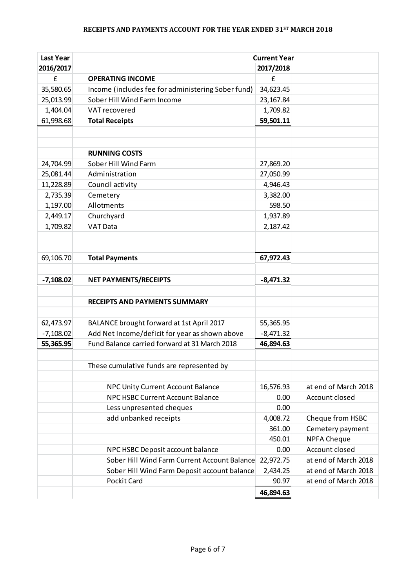## **RECEIPTS AND PAYMENTS ACCOUNT FOR THE YEAR ENDED 31ST MARCH 2018**

| <b>Last Year</b> | <b>Current Year</b>                                |             |                      |  |  |
|------------------|----------------------------------------------------|-------------|----------------------|--|--|
| 2016/2017        |                                                    | 2017/2018   |                      |  |  |
| £                | <b>OPERATING INCOME</b>                            | £           |                      |  |  |
| 35,580.65        | Income (includes fee for administering Sober fund) | 34,623.45   |                      |  |  |
| 25,013.99        | Sober Hill Wind Farm Income                        | 23,167.84   |                      |  |  |
| 1,404.04         | VAT recovered                                      | 1,709.82    |                      |  |  |
| 61,998.68        | <b>Total Receipts</b>                              | 59,501.11   |                      |  |  |
|                  |                                                    |             |                      |  |  |
|                  |                                                    |             |                      |  |  |
|                  | <b>RUNNING COSTS</b>                               |             |                      |  |  |
| 24,704.99        | Sober Hill Wind Farm                               | 27,869.20   |                      |  |  |
| 25,081.44        | Administration                                     | 27,050.99   |                      |  |  |
| 11,228.89        | Council activity                                   | 4,946.43    |                      |  |  |
| 2,735.39         | Cemetery                                           | 3,382.00    |                      |  |  |
| 1,197.00         | Allotments                                         | 598.50      |                      |  |  |
| 2,449.17         | Churchyard                                         | 1,937.89    |                      |  |  |
| 1,709.82         | <b>VAT Data</b>                                    | 2,187.42    |                      |  |  |
|                  |                                                    |             |                      |  |  |
|                  |                                                    |             |                      |  |  |
| 69,106.70        | <b>Total Payments</b>                              | 67,972.43   |                      |  |  |
|                  |                                                    |             |                      |  |  |
| $-7,108.02$      | <b>NET PAYMENTS/RECEIPTS</b>                       | $-8,471.32$ |                      |  |  |
|                  |                                                    |             |                      |  |  |
|                  | <b>RECEIPTS AND PAYMENTS SUMMARY</b>               |             |                      |  |  |
|                  |                                                    |             |                      |  |  |
| 62,473.97        | BALANCE brought forward at 1st April 2017          | 55,365.95   |                      |  |  |
| $-7,108.02$      | Add Net Income/deficit for year as shown above     | $-8,471.32$ |                      |  |  |
| 55,365.95        | Fund Balance carried forward at 31 March 2018      | 46,894.63   |                      |  |  |
|                  |                                                    |             |                      |  |  |
|                  | These cumulative funds are represented by          |             |                      |  |  |
|                  |                                                    |             |                      |  |  |
|                  | NPC Unity Current Account Balance                  | 16,576.93   | at end of March 2018 |  |  |
|                  | NPC HSBC Current Account Balance                   | 0.00        | Account closed       |  |  |
|                  | Less unpresented cheques                           | 0.00        |                      |  |  |
|                  | add unbanked receipts                              | 4,008.72    | Cheque from HSBC     |  |  |
|                  |                                                    | 361.00      | Cemetery payment     |  |  |
|                  |                                                    | 450.01      | <b>NPFA Cheque</b>   |  |  |
|                  | NPC HSBC Deposit account balance                   | 0.00        | Account closed       |  |  |
|                  | Sober Hill Wind Farm Current Account Balance       | 22,972.75   | at end of March 2018 |  |  |
|                  | Sober Hill Wind Farm Deposit account balance       | 2,434.25    | at end of March 2018 |  |  |
|                  | Pockit Card                                        | 90.97       | at end of March 2018 |  |  |
|                  |                                                    | 46,894.63   |                      |  |  |